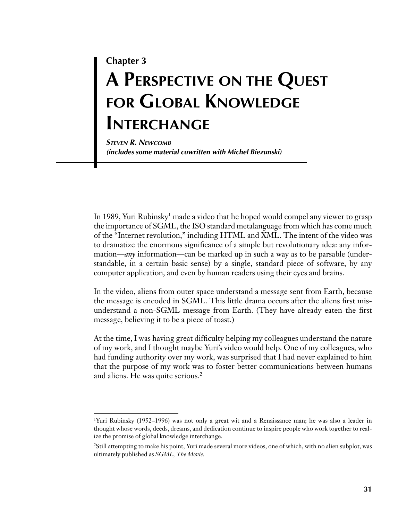# **Chapter 3 A PERSPECTIVE ON THE QUEST FOR GLOBAL KNOWLEDGE INTERCHANGE**

*STEVEN R. NEWCOMB (includes some material cowritten with Michel Biezunski)*

In 1989, Yuri Rubinsky<sup>1</sup> made a video that he hoped would compel any viewer to grasp the importance of SGML, the ISO standard metalanguage from which has come much of the "Internet revolution," including HTML and XML. The intent of the video was to dramatize the enormous significance of a simple but revolutionary idea: any information—*any* information—can be marked up in such a way as to be parsable (understandable, in a certain basic sense) by a single, standard piece of software, by any computer application, and even by human readers using their eyes and brains.

In the video, aliens from outer space understand a message sent from Earth, because the message is encoded in SGML. This little drama occurs after the aliens first misunderstand a non-SGML message from Earth. (They have already eaten the first message, believing it to be a piece of toast.)

At the time, I was having great difficulty helping my colleagues understand the nature of my work, and I thought maybe Yuri's video would help. One of my colleagues, who had funding authority over my work, was surprised that I had never explained to him that the purpose of my work was to foster better communications between humans and aliens. He was quite serious.<sup>2</sup>

<sup>1</sup>Yuri Rubinsky (1952–1996) was not only a great wit and a Renaissance man; he was also a leader in thought whose words, deeds, dreams, and dedication continue to inspire people who work together to realize the promise of global knowledge interchange.

<sup>2</sup>Still attempting to make his point, Yuri made several more videos, one of which, with no alien subplot, was ultimately published as *SGML, The Movie.*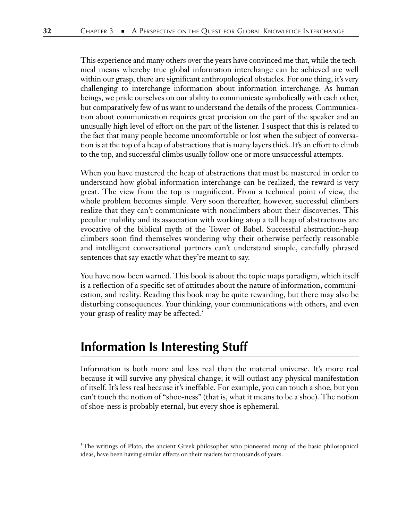This experience and many others over the years have convinced me that, while the technical means whereby true global information interchange can be achieved are well within our grasp, there are significant anthropological obstacles. For one thing, it's very challenging to interchange information about information interchange. As human beings, we pride ourselves on our ability to communicate symbolically with each other, but comparatively few of us want to understand the details of the process. Communication about communication requires great precision on the part of the speaker and an unusually high level of effort on the part of the listener. I suspect that this is related to the fact that many people become uncomfortable or lost when the subject of conversation is at the top of a heap of abstractions that is many layers thick. It's an effort to climb to the top, and successful climbs usually follow one or more unsuccessful attempts.

When you have mastered the heap of abstractions that must be mastered in order to understand how global information interchange can be realized, the reward is very great. The view from the top is magnificent. From a technical point of view, the whole problem becomes simple. Very soon thereafter, however, successful climbers realize that they can't communicate with nonclimbers about their discoveries. This peculiar inability and its association with working atop a tall heap of abstractions are evocative of the biblical myth of the Tower of Babel. Successful abstraction-heap climbers soon find themselves wondering why their otherwise perfectly reasonable and intelligent conversational partners can't understand simple, carefully phrased sentences that say exactly what they're meant to say.

You have now been warned. This book is about the topic maps paradigm, which itself is a reflection of a specific set of attitudes about the nature of information, communication, and reality. Reading this book may be quite rewarding, but there may also be disturbing consequences. Your thinking, your communications with others, and even your grasp of reality may be affected.<sup>3</sup>

### **Information Is Interesting Stuff**

Information is both more and less real than the material universe. It's more real because it will survive any physical change; it will outlast any physical manifestation of itself. It's less real because it's ineffable. For example, you can touch a shoe, but you can't touch the notion of "shoe-ness" (that is, what it means to be a shoe). The notion of shoe-ness is probably eternal, but every shoe is ephemeral.

<sup>&</sup>lt;sup>3</sup>The writings of Plato, the ancient Greek philosopher who pioneered many of the basic philosophical ideas, have been having similar effects on their readers for thousands of years.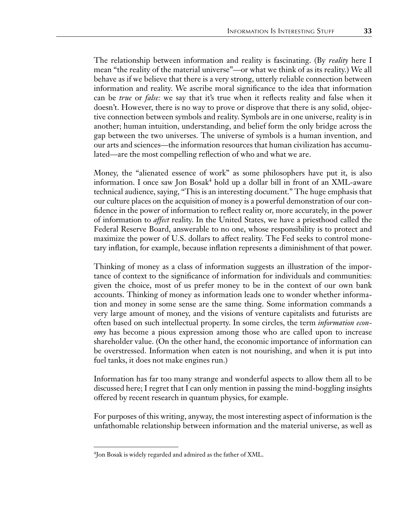The relationship between information and reality is fascinating. (By *reality* here I mean "the reality of the material universe"—or what we think of as its reality.) We all behave as if we believe that there is a very strong, utterly reliable connection between information and reality. We ascribe moral significance to the idea that information can be *true* or *false:* we say that it's true when it reflects reality and false when it doesn't. However, there is no way to prove or disprove that there is any solid, objective connection between symbols and reality. Symbols are in one universe, reality is in another; human intuition, understanding, and belief form the only bridge across the gap between the two universes. The universe of symbols is a human invention, and our arts and sciences—the information resources that human civilization has accumulated—are the most compelling reflection of who and what we are.

Money, the "alienated essence of work" as some philosophers have put it, is also information. I once saw Jon Bosak<sup>4</sup> hold up a dollar bill in front of an  $XML$ -aware technical audience, saying, "This is an interesting document." The huge emphasis that our culture places on the acquisition of money is a powerful demonstration of our confidence in the power of information to reflect reality or, more accurately, in the power of information to *affect* reality. In the United States, we have a priesthood called the Federal Reserve Board, answerable to no one, whose responsibility is to protect and maximize the power of U.S. dollars to affect reality. The Fed seeks to control monetary inflation, for example, because inflation represents a diminishment of that power.

Thinking of money as a class of information suggests an illustration of the importance of context to the significance of information for individuals and communities: given the choice, most of us prefer money to be in the context of our own bank accounts. Thinking of money as information leads one to wonder whether information and money in some sense are the same thing. Some information commands a very large amount of money, and the visions of venture capitalists and futurists are often based on such intellectual property. In some circles, the term *information economy* has become a pious expression among those who are called upon to increase shareholder value. (On the other hand, the economic importance of information can be overstressed. Information when eaten is not nourishing, and when it is put into fuel tanks, it does not make engines run.)

Information has far too many strange and wonderful aspects to allow them all to be discussed here; I regret that I can only mention in passing the mind-boggling insights offered by recent research in quantum physics, for example.

For purposes of this writing, anyway, the most interesting aspect of information is the unfathomable relationship between information and the material universe, as well as

<sup>4</sup>Jon Bosak is widely regarded and admired as the father of XML.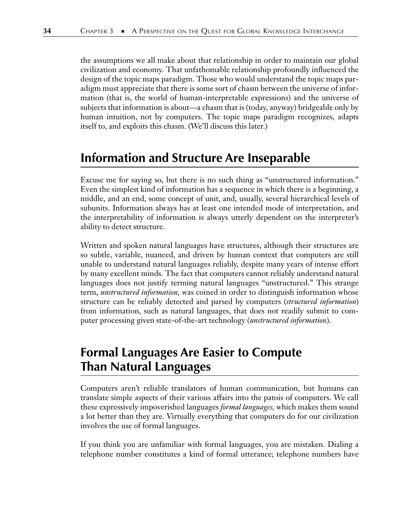the assumptions we all make about that relationship in order to maintain our global civilization and economy. That unfathomable relationship profoundly influenced the design of the topic maps paradigm. Those who would understand the topic maps paradigm must appreciate that there is some sort of chasm between the universe of information (that is, the world of human-interpretable expressions) and the universe of subjects that information is about—a chasm that is (today, anyway) bridgeable only by human intuition, not by computers. The topic maps paradigm recognizes, adapts itself to, and exploits this chasm. (We'll discuss this later.)

#### **Information and Structure Are Inseparable**

Excuse me for saying so, but there is no such thing as "unstructured information." Even the simplest kind of information has a sequence in which there is a beginning, a middle, and an end, some concept of unit, and, usually, several hierarchical levels of subunits. Information always has at least one intended mode of interpretation, and the interpretability of information is always utterly dependent on the interpreter's ability to detect structure.

Written and spoken natural languages have structures, although their structures are so subtle, variable, nuanced, and driven by human context that computers are still unable to understand natural languages reliably, despite many years of intense effort by many excellent minds. The fact that computers cannot reliably understand natural languages does not justify terming natural languages "unstructured." This strange term, *unstructured information,* was coined in order to distinguish information whose structure can be reliably detected and parsed by computers (*structured information*) from information, such as natural languages, that does not readily submit to computer processing given state-of-the-art technology (*unstructured information*).

# **Formal Languages Are Easier to Compute Than Natural Languages**

Computers aren't reliable translators of human communication, but humans can translate simple aspects of their various affairs into the patois of computers. We call these expressively impoverished languages *formal languages,* which makes them sound a lot better than they are. Virtually everything that computers do for our civilization involves the use of formal languages.

If you think you are unfamiliar with formal languages, you are mistaken. Dialing a telephone number constitutes a kind of formal utterance; telephone numbers have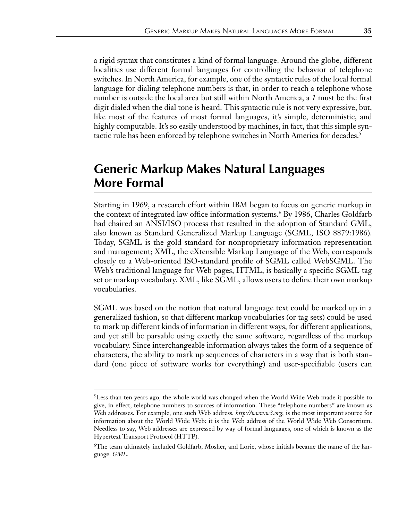a rigid syntax that constitutes a kind of formal language. Around the globe, different localities use different formal languages for controlling the behavior of telephone switches. In North America, for example, one of the syntactic rules of the local formal language for dialing telephone numbers is that, in order to reach a telephone whose number is outside the local area but still within North America, a *1* must be the first digit dialed when the dial tone is heard. This syntactic rule is not very expressive, but, like most of the features of most formal languages, it's simple, deterministic, and highly computable. It's so easily understood by machines, in fact, that this simple syntactic rule has been enforced by telephone switches in North America for decades.<sup>5</sup>

## **Generic Markup Makes Natural Languages More Formal**

Starting in 1969, a research effort within IBM began to focus on generic markup in the context of integrated law office information systems.6 By 1986, Charles Goldfarb had chaired an ANSI/ISO process that resulted in the adoption of Standard GML, also known as Standard Generalized Markup Language (SGML, ISO 8879:1986). Today, SGML is the gold standard for nonproprietary information representation and management; XML, the eXtensible Markup Language of the Web, corresponds closely to a Web-oriented ISO-standard profile of SGML called WebSGML. The Web's traditional language for Web pages, HTML, is basically a specific SGML tag set or markup vocabulary. XML, like SGML, allows users to define their own markup vocabularies.

SGML was based on the notion that natural language text could be marked up in a generalized fashion, so that different markup vocabularies (or tag sets) could be used to mark up different kinds of information in different ways, for different applications, and yet still be parsable using exactly the same software, regardless of the markup vocabulary. Since interchangeable information always takes the form of a sequence of characters, the ability to mark up sequences of characters in a way that is both standard (one piece of software works for everything) and user-specifiable (users can

 $5$ Less than ten years ago, the whole world was changed when the World Wide Web made it possible to give, in effect, telephone numbers to sources of information. These "telephone numbers" are known as Web addresses. For example, one such Web address, *http://www.w3.org,* is the most important source for information about the World Wide Web: it is the Web address of the World Wide Web Consortium. Needless to say, Web addresses are expressed by way of formal languages, one of which is known as the Hypertext Transport Protocol (HTTP).

<sup>6</sup>The team ultimately included Goldfarb, Mosher, and Lorie, whose initials became the name of the language: *GML.*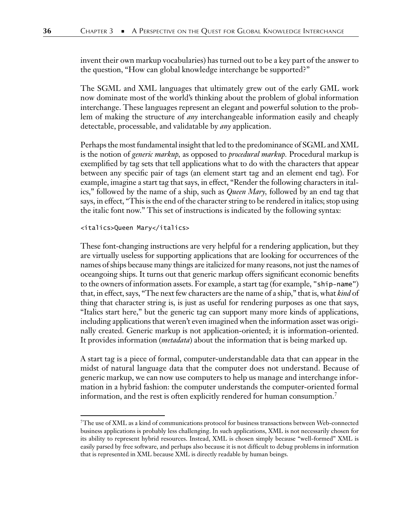invent their own markup vocabularies) has turned out to be a key part of the answer to the question, "How can global knowledge interchange be supported?"

The SGML and XML languages that ultimately grew out of the early GML work now dominate most of the world's thinking about the problem of global information interchange. These languages represent an elegant and powerful solution to the problem of making the structure of *any* interchangeable information easily and cheaply detectable, processable, and validatable by *any* application.

Perhaps the most fundamental insight that led to the predominance of SGML and XML is the notion of *generic markup,* as opposed to *procedural markup.* Procedural markup is exemplified by tag sets that tell applications what to do with the characters that appear between any specific pair of tags (an element start tag and an element end tag). For example, imagine a start tag that says, in effect, "Render the following characters in italics," followed by the name of a ship, such as *Queen Mary,* followed by an end tag that says, in effect, "This is the end of the character string to be rendered in italics; stop using the italic font now." This set of instructions is indicated by the following syntax:

<italics>Queen Mary</italics>

These font-changing instructions are very helpful for a rendering application, but they are virtually useless for supporting applications that are looking for occurrences of the names of ships because many things are italicized for many reasons, not just the names of oceangoing ships. It turns out that generic markup offers significant economic benefits to the owners of information assets. For example, a start tag (for example, "ship-name") that, in effect, says, "The next few characters are the name of a ship," that is, what *kind* of thing that character string is, is just as useful for rendering purposes as one that says, "Italics start here," but the generic tag can support many more kinds of applications, including applications that weren't even imagined when the information asset was originally created. Generic markup is not application-oriented; it is information-oriented. It provides information (*metadata*) about the information that is being marked up.

A start tag is a piece of formal, computer-understandable data that can appear in the midst of natural language data that the computer does not understand. Because of generic markup, we can now use computers to help us manage and interchange information in a hybrid fashion: the computer understands the computer-oriented formal information, and the rest is often explicitly rendered for human consumption.<sup>7</sup>

<sup>7</sup>The use of XML as a kind of communications protocol for business transactions between Web-connected business applications is probably less challenging. In such applications, XML is not necessarily chosen for its ability to represent hybrid resources. Instead, XML is chosen simply because "well-formed" XML is easily parsed by free software, and perhaps also because it is not difficult to debug problems in information that is represented in XML because XML is directly readable by human beings.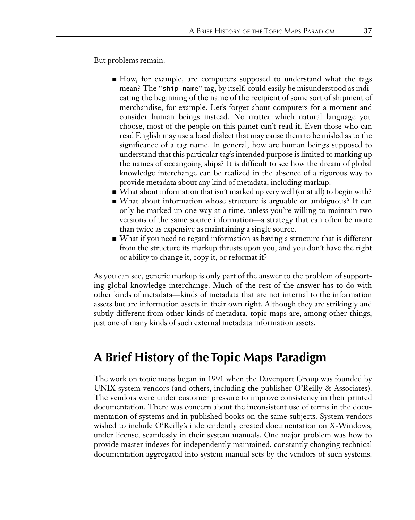But problems remain.

- $\blacksquare$  How, for example, are computers supposed to understand what the tags mean? The "ship-name" tag, by itself, could easily be misunderstood as indicating the beginning of the name of the recipient of some sort of shipment of merchandise, for example. Let's forget about computers for a moment and consider human beings instead. No matter which natural language you choose, most of the people on this planet can't read it. Even those who can read English may use a local dialect that may cause them to be misled as to the significance of a tag name. In general, how are human beings supposed to understand that this particular tag's intended purpose is limited to marking up the names of oceangoing ships? It is difficult to see how the dream of global knowledge interchange can be realized in the absence of a rigorous way to provide metadata about any kind of metadata, including markup.
- $\blacksquare$  What about information that isn't marked up very well (or at all) to begin with?
- $\blacksquare$  What about information whose structure is arguable or ambiguous? It can only be marked up one way at a time, unless you're willing to maintain two versions of the same source information—a strategy that can often be more than twice as expensive as maintaining a single source.
- $\blacksquare$  What if you need to regard information as having a structure that is different from the structure its markup thrusts upon you, and you don't have the right or ability to change it, copy it, or reformat it?

As you can see, generic markup is only part of the answer to the problem of supporting global knowledge interchange. Much of the rest of the answer has to do with other kinds of metadata—kinds of metadata that are not internal to the information assets but are information assets in their own right. Although they are strikingly and subtly different from other kinds of metadata, topic maps are, among other things, just one of many kinds of such external metadata information assets.

### **A Brief History of the Topic Maps Paradigm**

The work on topic maps began in 1991 when the Davenport Group was founded by UNIX system vendors (and others, including the publisher O'Reilly & Associates). The vendors were under customer pressure to improve consistency in their printed documentation. There was concern about the inconsistent use of terms in the documentation of systems and in published books on the same subjects. System vendors wished to include O'Reilly's independently created documentation on X-Windows, under license, seamlessly in their system manuals. One major problem was how to provide master indexes for independently maintained, constantly changing technical documentation aggregated into system manual sets by the vendors of such systems.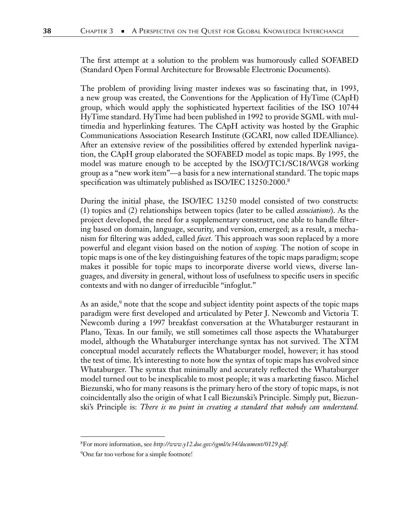The first attempt at a solution to the problem was humorously called SOFABED (Standard Open Formal Architecture for Browsable Electronic Documents).

The problem of providing living master indexes was so fascinating that, in 1993, a new group was created, the Conventions for the Application of HyTime (CApH) group, which would apply the sophisticated hypertext facilities of the ISO 10744 HyTime standard. HyTime had been published in 1992 to provide SGML with multimedia and hyperlinking features. The CApH activity was hosted by the Graphic Communications Association Research Institute (GCARI, now called IDEAlliance). After an extensive review of the possibilities offered by extended hyperlink navigation, the CApH group elaborated the SOFABED model as topic maps. By 1995, the model was mature enough to be accepted by the ISO/JTC1/SC18/WG8 working group as a "new work item"—a basis for a new international standard. The topic maps specification was ultimately published as ISO/IEC 13250:2000.8

During the initial phase, the ISO/IEC 13250 model consisted of two constructs: (1) topics and (2) relationships between topics (later to be called *associations*). As the project developed, the need for a supplementary construct, one able to handle filtering based on domain, language, security, and version, emerged; as a result, a mechanism for filtering was added, called *facet.* This approach was soon replaced by a more powerful and elegant vision based on the notion of *scoping.* The notion of scope in topic maps is one of the key distinguishing features of the topic maps paradigm; scope makes it possible for topic maps to incorporate diverse world views, diverse languages, and diversity in general, without loss of usefulness to specific users in specific contexts and with no danger of irreducible "infoglut."

As an aside,<sup>9</sup> note that the scope and subject identity point aspects of the topic maps paradigm were first developed and articulated by Peter J. Newcomb and Victoria T. Newcomb during a 1997 breakfast conversation at the Whataburger restaurant in Plano, Texas. In our family, we still sometimes call those aspects the Whataburger model, although the Whataburger interchange syntax has not survived. The XTM conceptual model accurately reflects the Whataburger model, however; it has stood the test of time. It's interesting to note how the syntax of topic maps has evolved since Whataburger. The syntax that minimally and accurately reflected the Whataburger model turned out to be inexplicable to most people; it was a marketing fiasco. Michel Biezunski, who for many reasons is the primary hero of the story of topic maps, is not coincidentally also the origin of what I call Biezunski's Principle. Simply put, Biezunski's Principle is: *There is no point in creating a standard that nobody can understand.*

<sup>8</sup>For more information, see *http://www.y12.doe.gov/sgml/sc34/document/0129.pdf.*

<sup>&</sup>lt;sup>9</sup>One far too verbose for a simple footnote!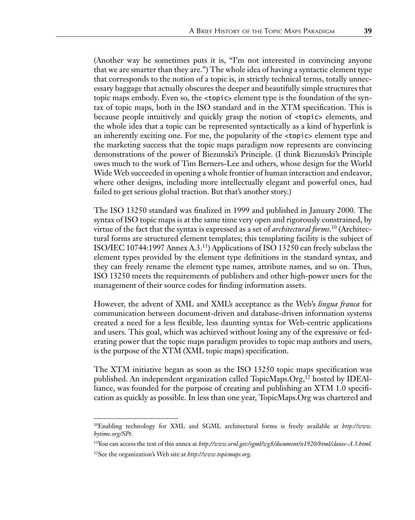(Another way he sometimes puts it is, "I'm not interested in convincing anyone that we are smarter than they are.") The whole idea of having a syntactic element type that corresponds to the notion of a topic is, in strictly technical terms, totally unnecessary baggage that actually obscures the deeper and beautifully simple structures that topic maps embody. Even so, the <topic> element type is the foundation of the syntax of topic maps, both in the ISO standard and in the XTM specification. This is because people intuitively and quickly grasp the notion of <topic> elements, and the whole idea that a topic can be represented syntactically as a kind of hyperlink is an inherently exciting one. For me, the popularity of the <topic> element type and the marketing success that the topic maps paradigm now represents are convincing demonstrations of the power of Biezunski's Principle. (I think Biezunski's Principle owes much to the work of Tim Berners-Lee and others, whose design for the World Wide Web succeeded in opening a whole frontier of human interaction and endeavor, where other designs, including more intellectually elegant and powerful ones, had failed to get serious global traction. But that's another story.)

The ISO 13250 standard was finalized in 1999 and published in January 2000. The syntax of ISO topic maps is at the same time very open and rigorously constrained, by virtue of the fact that the syntax is expressed as a set of *architectural forms.*<sup>10</sup> (Architectural forms are structured element templates; this templating facility is the subject of ISO/IEC 10744:1997 Annex A.3.11) Applications of ISO 13250 can freely subclass the element types provided by the element type definitions in the standard syntax, and they can freely rename the element type names, attribute names, and so on. Thus, ISO 13250 meets the requirements of publishers and other high-power users for the management of their source codes for finding information assets.

However, the advent of XML and XML's acceptance as the Web's *lingua franca* for communication between document-driven and database-driven information systems created a need for a less flexible, less daunting syntax for Web-centric applications and users. This goal, which was achieved without losing any of the expressive or federating power that the topic maps paradigm provides to topic map authors and users, is the purpose of the XTM (XML topic maps) specification.

The XTM initiative began as soon as the ISO 13250 topic maps specification was published. An independent organization called TopicMaps.Org,<sup>12</sup> hosted by IDEAlliance, was founded for the purpose of creating and publishing an XTM 1.0 specification as quickly as possible. In less than one year, TopicMaps.Org was chartered and

<sup>10</sup>Enabling technology for XML and SGML architectural forms is freely available at *http://www. hytime.org/SPt.*

<sup>11</sup>You can access the text of this annex at *http://www.ornl.gov/sgml/wg8/document/n1920/html/clause-A.3.html.* 12See the organization's Web site at *http://www.topicmaps.org.*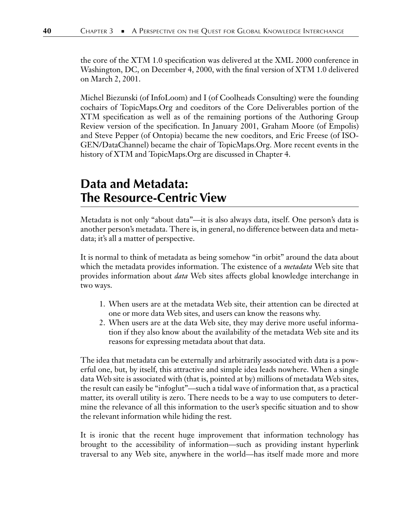the core of the XTM 1.0 specification was delivered at the XML 2000 conference in Washington, DC, on December 4, 2000, with the final version of XTM 1.0 delivered on March 2, 2001.

Michel Biezunski (of InfoLoom) and I (of Coolheads Consulting) were the founding cochairs of TopicMaps.Org and coeditors of the Core Deliverables portion of the XTM specification as well as of the remaining portions of the Authoring Group Review version of the specification. In January 2001, Graham Moore (of Empolis) and Steve Pepper (of Ontopia) became the new coeditors, and Eric Freese (of ISO-GEN/DataChannel) became the chair of TopicMaps.Org. More recent events in the history of XTM and TopicMaps.Org are discussed in Chapter 4.

### **Data and Metadata: The Resource-Centric View**

Metadata is not only "about data"—it is also always data, itself. One person's data is another person's metadata. There is, in general, no difference between data and metadata; it's all a matter of perspective.

It is normal to think of metadata as being somehow "in orbit" around the data about which the metadata provides information. The existence of a *metadata* Web site that provides information about *data* Web sites affects global knowledge interchange in two ways.

- 1. When users are at the metadata Web site, their attention can be directed at one or more data Web sites, and users can know the reasons why.
- 2. When users are at the data Web site, they may derive more useful information if they also know about the availability of the metadata Web site and its reasons for expressing metadata about that data.

The idea that metadata can be externally and arbitrarily associated with data is a powerful one, but, by itself, this attractive and simple idea leads nowhere. When a single data Web site is associated with (that is, pointed at by) millions of metadata Web sites, the result can easily be "infoglut"—such a tidal wave of information that, as a practical matter, its overall utility is zero. There needs to be a way to use computers to determine the relevance of all this information to the user's specific situation and to show the relevant information while hiding the rest.

It is ironic that the recent huge improvement that information technology has brought to the accessibility of information—such as providing instant hyperlink traversal to any Web site, anywhere in the world—has itself made more and more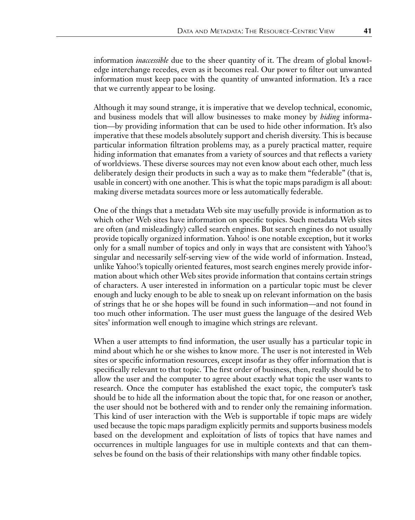information *inaccessible* due to the sheer quantity of it. The dream of global knowledge interchange recedes, even as it becomes real. Our power to filter out unwanted information must keep pace with the quantity of unwanted information. It's a race that we currently appear to be losing.

Although it may sound strange, it is imperative that we develop technical, economic, and business models that will allow businesses to make money by *hiding* information—by providing information that can be used to hide other information. It's also imperative that these models absolutely support and cherish diversity. This is because particular information filtration problems may, as a purely practical matter, require hiding information that emanates from a variety of sources and that reflects a variety of worldviews. These diverse sources may not even know about each other, much less deliberately design their products in such a way as to make them "federable" (that is, usable in concert) with one another. This is what the topic maps paradigm is all about: making diverse metadata sources more or less automatically federable.

One of the things that a metadata Web site may usefully provide is information as to which other Web sites have information on specific topics. Such metadata Web sites are often (and misleadingly) called search engines. But search engines do not usually provide topically organized information. Yahoo! is one notable exception, but it works only for a small number of topics and only in ways that are consistent with Yahoo!'s singular and necessarily self-serving view of the wide world of information. Instead, unlike Yahoo!'s topically oriented features, most search engines merely provide information about which other Web sites provide information that contains certain strings of characters. A user interested in information on a particular topic must be clever enough and lucky enough to be able to sneak up on relevant information on the basis of strings that he or she hopes will be found in such information—and not found in too much other information. The user must guess the language of the desired Web sites' information well enough to imagine which strings are relevant.

When a user attempts to find information, the user usually has a particular topic in mind about which he or she wishes to know more. The user is not interested in Web sites or specific information resources, except insofar as they offer information that is specifically relevant to that topic. The first order of business, then, really should be to allow the user and the computer to agree about exactly what topic the user wants to research. Once the computer has established the exact topic, the computer's task should be to hide all the information about the topic that, for one reason or another, the user should not be bothered with and to render only the remaining information. This kind of user interaction with the Web is supportable if topic maps are widely used because the topic maps paradigm explicitly permits and supports business models based on the development and exploitation of lists of topics that have names and occurrences in multiple languages for use in multiple contexts and that can themselves be found on the basis of their relationships with many other findable topics.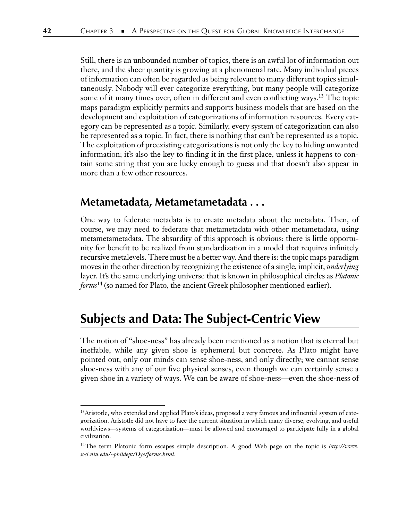Still, there is an unbounded number of topics, there is an awful lot of information out there, and the sheer quantity is growing at a phenomenal rate. Many individual pieces of information can often be regarded as being relevant to many different topics simultaneously. Nobody will ever categorize everything, but many people will categorize some of it many times over, often in different and even conflicting ways.<sup>13</sup> The topic maps paradigm explicitly permits and supports business models that are based on the development and exploitation of categorizations of information resources. Every category can be represented as a topic. Similarly, every system of categorization can also be represented as a topic. In fact, there is nothing that can't be represented as a topic. The exploitation of preexisting categorizations is not only the key to hiding unwanted information; it's also the key to finding it in the first place, unless it happens to contain some string that you are lucky enough to guess and that doesn't also appear in more than a few other resources.

#### **Metametadata, Metametametadata . . .**

One way to federate metadata is to create metadata about the metadata. Then, of course, we may need to federate that metametadata with other metametadata, using metametametadata. The absurdity of this approach is obvious: there is little opportunity for benefit to be realized from standardization in a model that requires infinitely recursive metalevels. There must be a better way. And there is: the topic maps paradigm moves in the other direction by recognizing the existence of a single, implicit, *underlying* layer. It's the same underlying universe that is known in philosophical circles as *Platonic forms*<sup>14</sup> (so named for Plato, the ancient Greek philosopher mentioned earlier).

### **Subjects and Data: The Subject-Centric View**

The notion of "shoe-ness" has already been mentioned as a notion that is eternal but ineffable, while any given shoe is ephemeral but concrete. As Plato might have pointed out, only our minds can sense shoe-ness, and only directly; we cannot sense shoe-ness with any of our five physical senses, even though we can certainly sense a given shoe in a variety of ways. We can be aware of shoe-ness—even the shoe-ness of

<sup>13</sup>Aristotle, who extended and applied Plato's ideas, proposed a very famous and influential system of categorization. Aristotle did not have to face the current situation in which many diverse, evolving, and useful worldviews—systems of categorization—must be allowed and encouraged to participate fully in a global civilization.

<sup>14</sup>The term Platonic form escapes simple description. A good Web page on the topic is *http://www. soci.niu.edu/~phildept/Dye/forms.html.*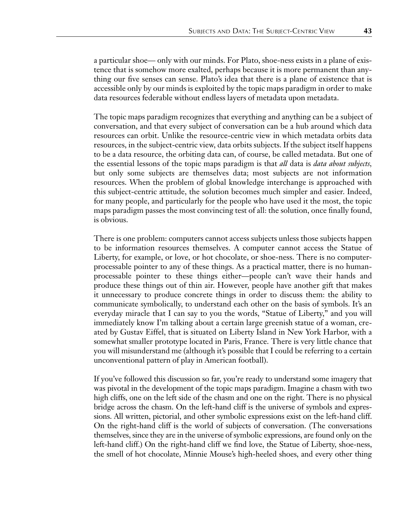a particular shoe— only with our minds. For Plato, shoe-ness exists in a plane of existence that is somehow more exalted, perhaps because it is more permanent than anything our five senses can sense. Plato's idea that there is a plane of existence that is accessible only by our minds is exploited by the topic maps paradigm in order to make data resources federable without endless layers of metadata upon metadata.

The topic maps paradigm recognizes that everything and anything can be a subject of conversation, and that every subject of conversation can be a hub around which data resources can orbit. Unlike the resource-centric view in which metadata orbits data resources, in the subject-centric view, data orbits subjects. If the subject itself happens to be a data resource, the orbiting data can, of course, be called metadata. But one of the essential lessons of the topic maps paradigm is that *all* data is *data about subjects,* but only some subjects are themselves data; most subjects are not information resources. When the problem of global knowledge interchange is approached with this subject-centric attitude, the solution becomes much simpler and easier. Indeed, for many people, and particularly for the people who have used it the most, the topic maps paradigm passes the most convincing test of all: the solution, once finally found, is obvious.

There is one problem: computers cannot access subjects unless those subjects happen to be information resources themselves. A computer cannot access the Statue of Liberty, for example, or love, or hot chocolate, or shoe-ness. There is no computerprocessable pointer to any of these things. As a practical matter, there is no humanprocessable pointer to these things either—people can't wave their hands and produce these things out of thin air. However, people have another gift that makes it unnecessary to produce concrete things in order to discuss them: the ability to communicate symbolically, to understand each other on the basis of symbols. It's an everyday miracle that I can say to you the words, "Statue of Liberty," and you will immediately know I'm talking about a certain large greenish statue of a woman, created by Gustav Eiffel, that is situated on Liberty Island in New York Harbor, with a somewhat smaller prototype located in Paris, France. There is very little chance that you will misunderstand me (although it's possible that I could be referring to a certain unconventional pattern of play in American football).

If you've followed this discussion so far, you're ready to understand some imagery that was pivotal in the development of the topic maps paradigm. Imagine a chasm with two high cliffs, one on the left side of the chasm and one on the right. There is no physical bridge across the chasm. On the left-hand cliff is the universe of symbols and expressions. All written, pictorial, and other symbolic expressions exist on the left-hand cliff. On the right-hand cliff is the world of subjects of conversation. (The conversations themselves, since they are in the universe of symbolic expressions, are found only on the left-hand cliff.) On the right-hand cliff we find love, the Statue of Liberty, shoe-ness, the smell of hot chocolate, Minnie Mouse's high-heeled shoes, and every other thing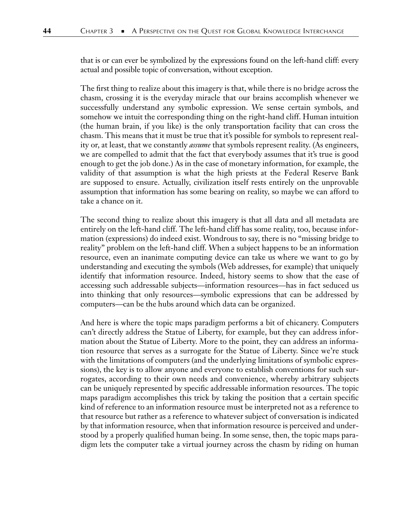that is or can ever be symbolized by the expressions found on the left-hand cliff: every actual and possible topic of conversation, without exception.

The first thing to realize about this imagery is that, while there is no bridge across the chasm, crossing it is the everyday miracle that our brains accomplish whenever we successfully understand any symbolic expression. We sense certain symbols, and somehow we intuit the corresponding thing on the right-hand cliff. Human intuition (the human brain, if you like) is the only transportation facility that can cross the chasm. This means that it must be true that it's possible for symbols to represent reality or, at least, that we constantly *assume* that symbols represent reality. (As engineers, we are compelled to admit that the fact that everybody assumes that it's true is good enough to get the job done.) As in the case of monetary information, for example, the validity of that assumption is what the high priests at the Federal Reserve Bank are supposed to ensure. Actually, civilization itself rests entirely on the unprovable assumption that information has some bearing on reality, so maybe we can afford to take a chance on it.

The second thing to realize about this imagery is that all data and all metadata are entirely on the left-hand cliff. The left-hand cliff has some reality, too, because information (expressions) do indeed exist. Wondrous to say, there is no "missing bridge to reality" problem on the left-hand cliff. When a subject happens to be an information resource, even an inanimate computing device can take us where we want to go by understanding and executing the symbols (Web addresses, for example) that uniquely identify that information resource. Indeed, history seems to show that the ease of accessing such addressable subjects—information resources—has in fact seduced us into thinking that only resources—symbolic expressions that can be addressed by computers—can be the hubs around which data can be organized.

And here is where the topic maps paradigm performs a bit of chicanery. Computers can't directly address the Statue of Liberty, for example, but they can address information about the Statue of Liberty. More to the point, they can address an information resource that serves as a surrogate for the Statue of Liberty. Since we're stuck with the limitations of computers (and the underlying limitations of symbolic expressions), the key is to allow anyone and everyone to establish conventions for such surrogates, according to their own needs and convenience, whereby arbitrary subjects can be uniquely represented by specific addressable information resources. The topic maps paradigm accomplishes this trick by taking the position that a certain specific kind of reference to an information resource must be interpreted not as a reference to that resource but rather as a reference to whatever subject of conversation is indicated by that information resource, when that information resource is perceived and understood by a properly qualified human being. In some sense, then, the topic maps paradigm lets the computer take a virtual journey across the chasm by riding on human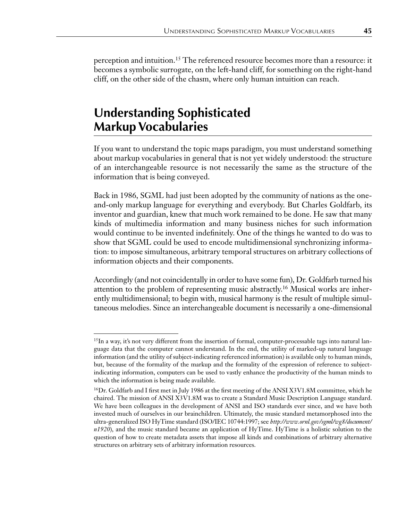perception and intuition.15 The referenced resource becomes more than a resource: it becomes a symbolic surrogate, on the left-hand cliff, for something on the right-hand cliff, on the other side of the chasm, where only human intuition can reach.

# **Understanding Sophisticated Markup Vocabularies**

If you want to understand the topic maps paradigm, you must understand something about markup vocabularies in general that is not yet widely understood: the structure of an interchangeable resource is not necessarily the same as the structure of the information that is being conveyed.

Back in 1986, SGML had just been adopted by the community of nations as the oneand-only markup language for everything and everybody. But Charles Goldfarb, its inventor and guardian, knew that much work remained to be done. He saw that many kinds of multimedia information and many business niches for such information would continue to be invented indefinitely. One of the things he wanted to do was to show that SGML could be used to encode multidimensional synchronizing information: to impose simultaneous, arbitrary temporal structures on arbitrary collections of information objects and their components.

Accordingly (and not coincidentally in order to have some fun), Dr. Goldfarb turned his attention to the problem of representing music abstractly.16 Musical works are inherently multidimensional; to begin with, musical harmony is the result of multiple simultaneous melodies. Since an interchangeable document is necessarily a one-dimensional

<sup>&</sup>lt;sup>15</sup>In a way, it's not very different from the insertion of formal, computer-processable tags into natural language data that the computer cannot understand. In the end, the utility of marked-up natural language information (and the utility of subject-indicating referenced information) is available only to human minds, but, because of the formality of the markup and the formality of the expression of reference to subjectindicating information, computers can be used to vastly enhance the productivity of the human minds to which the information is being made available.

<sup>&</sup>lt;sup>16</sup>Dr. Goldfarb and I first met in July 1986 at the first meeting of the ANSI X3V1.8M committee, which he chaired. The mission of ANSI X3V1.8M was to create a Standard Music Description Language standard. We have been colleagues in the development of ANSI and ISO standards ever since, and we have both invested much of ourselves in our brainchildren. Ultimately, the music standard metamorphosed into the ultra-generalized ISO HyTime standard (ISO/IEC 10744:1997; see *http://www.ornl.gov/sgml/wg8/document/ n1920*), and the music standard became an application of HyTime. HyTime is a holistic solution to the question of how to create metadata assets that impose all kinds and combinations of arbitrary alternative structures on arbitrary sets of arbitrary information resources.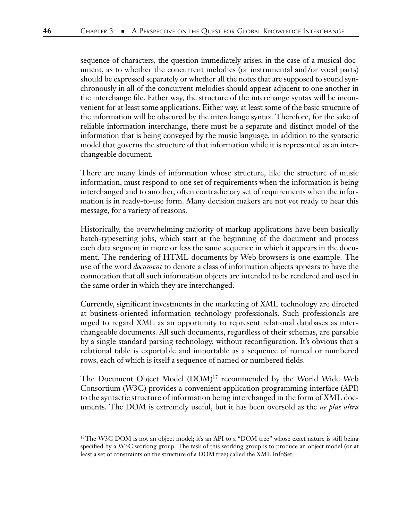sequence of characters, the question immediately arises, in the case of a musical document, as to whether the concurrent melodies (or instrumental and/or vocal parts) should be expressed separately or whether all the notes that are supposed to sound synchronously in all of the concurrent melodies should appear adjacent to one another in the interchange file. Either way, the structure of the interchange syntax will be inconvenient for at least some applications. Either way, at least some of the basic structure of the information will be obscured by the interchange syntax. Therefore, for the sake of reliable information interchange, there must be a separate and distinct model of the information that is being conveyed by the music language, in addition to the syntactic model that governs the structure of that information while it is represented as an interchangeable document.

There are many kinds of information whose structure, like the structure of music information, must respond to one set of requirements when the information is being interchanged and to another, often contradictory set of requirements when the information is in ready-to-use form. Many decision makers are not yet ready to hear this message, for a variety of reasons.

Historically, the overwhelming majority of markup applications have been basically batch-typesetting jobs, which start at the beginning of the document and process each data segment in more or less the same sequence in which it appears in the document. The rendering of HTML documents by Web browsers is one example. The use of the word *document* to denote a class of information objects appears to have the connotation that all such information objects are intended to be rendered and used in the same order in which they are interchanged.

Currently, significant investments in the marketing of XML technology are directed at business-oriented information technology professionals. Such professionals are urged to regard XML as an opportunity to represent relational databases as interchangeable documents. All such documents, regardless of their schemas, are parsable by a single standard parsing technology, without reconfiguration. It's obvious that a relational table is exportable and importable as a sequence of named or numbered rows, each of which is itself a sequence of named or numbered fields.

The Document Object Model (DOM)<sup>17</sup> recommended by the World Wide Web Consortium (W3C) provides a convenient application programming interface (API) to the syntactic structure of information being interchanged in the form of XML documents. The DOM is extremely useful, but it has been oversold as the *ne plus ultra*

<sup>&</sup>lt;sup>17</sup>The W3C DOM is not an object model; it's an API to a "DOM tree" whose exact nature is still being specified by a W3C working group. The task of this working group is to produce an object model (or at least a set of constraints on the structure of a DOM tree) called the XML InfoSet.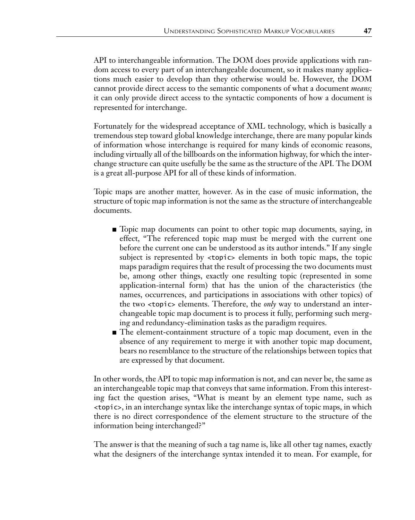API to interchangeable information. The DOM does provide applications with random access to every part of an interchangeable document, so it makes many applications much easier to develop than they otherwise would be. However, the DOM cannot provide direct access to the semantic components of what a document *means;* it can only provide direct access to the syntactic components of how a document is represented for interchange.

Fortunately for the widespread acceptance of XML technology, which is basically a tremendous step toward global knowledge interchange, there are many popular kinds of information whose interchange is required for many kinds of economic reasons, including virtually all of the billboards on the information highway, for which the interchange structure can quite usefully be the same as the structure of the API. The DOM is a great all-purpose API for all of these kinds of information.

Topic maps are another matter, however. As in the case of music information, the structure of topic map information is not the same as the structure of interchangeable documents.

- Topic map documents can point to other topic map documents, saying, in effect, "The referenced topic map must be merged with the current one before the current one can be understood as its author intends." If any single subject is represented by <topic> elements in both topic maps, the topic maps paradigm requires that the result of processing the two documents must be, among other things, exactly one resulting topic (represented in some application-internal form) that has the union of the characteristics (the names, occurrences, and participations in associations with other topics) of the two <topic> elements. Therefore, the *only* way to understand an interchangeable topic map document is to process it fully, performing such merging and redundancy-elimination tasks as the paradigm requires.
- $\blacksquare$  The element-containment structure of a topic map document, even in the absence of any requirement to merge it with another topic map document, bears no resemblance to the structure of the relationships between topics that are expressed by that document.

In other words, the API to topic map information is not, and can never be, the same as an interchangeable topic map that conveys that same information. From this interesting fact the question arises, "What is meant by an element type name, such as <topic>, in an interchange syntax like the interchange syntax of topic maps, in which there is no direct correspondence of the element structure to the structure of the information being interchanged?"

The answer is that the meaning of such a tag name is, like all other tag names, exactly what the designers of the interchange syntax intended it to mean. For example, for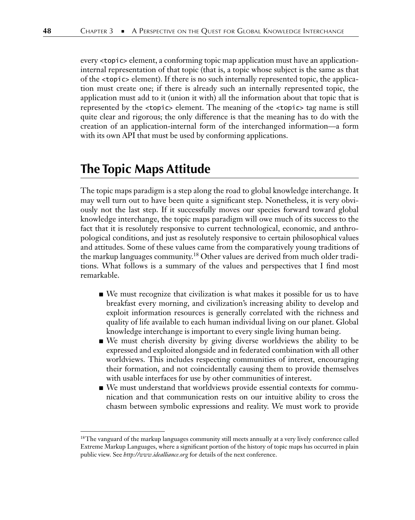every <topic> element, a conforming topic map application must have an applicationinternal representation of that topic (that is, a topic whose subject is the same as that of the <topic> element). If there is no such internally represented topic, the application must create one; if there is already such an internally represented topic, the application must add to it (union it with) all the information about that topic that is represented by the <topic> element. The meaning of the <topic> tag name is still quite clear and rigorous; the only difference is that the meaning has to do with the creation of an application-internal form of the interchanged information—a form with its own API that must be used by conforming applications.

# **The Topic Maps Attitude**

The topic maps paradigm is a step along the road to global knowledge interchange. It may well turn out to have been quite a significant step. Nonetheless, it is very obviously not the last step. If it successfully moves our species forward toward global knowledge interchange, the topic maps paradigm will owe much of its success to the fact that it is resolutely responsive to current technological, economic, and anthropological conditions, and just as resolutely responsive to certain philosophical values and attitudes. Some of these values came from the comparatively young traditions of the markup languages community.18 Other values are derived from much older traditions. What follows is a summary of the values and perspectives that I find most remarkable.

- $\blacksquare$  We must recognize that civilization is what makes it possible for us to have breakfast every morning, and civilization's increasing ability to develop and exploit information resources is generally correlated with the richness and quality of life available to each human individual living on our planet. Global knowledge interchange is important to every single living human being.
- We must cherish diversity by giving diverse worldviews the ability to be expressed and exploited alongside and in federated combination with all other worldviews. This includes respecting communities of interest, encouraging their formation, and not coincidentally causing them to provide themselves with usable interfaces for use by other communities of interest.
- We must understand that worldviews provide essential contexts for communication and that communication rests on our intuitive ability to cross the chasm between symbolic expressions and reality. We must work to provide

<sup>&</sup>lt;sup>18</sup>The vanguard of the markup languages community still meets annually at a very lively conference called Extreme Markup Languages, where a significant portion of the history of topic maps has occurred in plain public view. See *http://www.idealliance.org* for details of the next conference.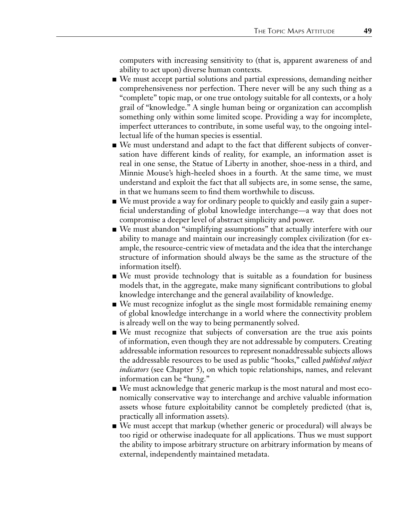computers with increasing sensitivity to (that is, apparent awareness of and ability to act upon) diverse human contexts.

- $\blacksquare$  We must accept partial solutions and partial expressions, demanding neither comprehensiveness nor perfection. There never will be any such thing as a "complete" topic map, or one true ontology suitable for all contexts, or a holy grail of "knowledge." A single human being or organization can accomplish something only within some limited scope. Providing a way for incomplete, imperfect utterances to contribute, in some useful way, to the ongoing intellectual life of the human species is essential.
- $\blacksquare$  We must understand and adapt to the fact that different subjects of conversation have different kinds of reality, for example, an information asset is real in one sense, the Statue of Liberty in another, shoe-ness in a third, and Minnie Mouse's high-heeled shoes in a fourth. At the same time, we must understand and exploit the fact that all subjects are, in some sense, the same, in that we humans seem to find them worthwhile to discuss.
- $\blacksquare$  We must provide a way for ordinary people to quickly and easily gain a superficial understanding of global knowledge interchange—a way that does not compromise a deeper level of abstract simplicity and power.
- $\blacksquare$  We must abandon "simplifying assumptions" that actually interfere with our ability to manage and maintain our increasingly complex civilization (for example, the resource-centric view of metadata and the idea that the interchange structure of information should always be the same as the structure of the information itself).
- $\blacksquare$  We must provide technology that is suitable as a foundation for business models that, in the aggregate, make many significant contributions to global knowledge interchange and the general availability of knowledge.
- $\blacksquare$  We must recognize infoglut as the single most formidable remaining enemy of global knowledge interchange in a world where the connectivity problem is already well on the way to being permanently solved.
- $\blacksquare$  We must recognize that subjects of conversation are the true axis points of information, even though they are not addressable by computers. Creating addressable information resources to represent nonaddressable subjects allows the addressable resources to be used as public "hooks," called *published subject indicators* (see Chapter 5), on which topic relationships, names, and relevant information can be "hung."
- $\blacksquare$  We must acknowledge that generic markup is the most natural and most economically conservative way to interchange and archive valuable information assets whose future exploitability cannot be completely predicted (that is, practically all information assets).
- $\blacksquare$  We must accept that markup (whether generic or procedural) will always be too rigid or otherwise inadequate for all applications. Thus we must support the ability to impose arbitrary structure on arbitrary information by means of external, independently maintained metadata.